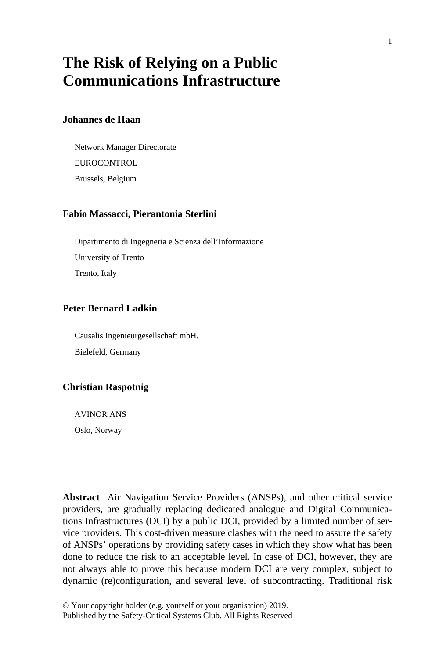# **The Risk of Relying on a Public Communications Infrastructure**

### **Johannes de Haan**

Network Manager Directorate EUROCONTROL Brussels, Belgium

### **Fabio Massacci, Pierantonia Sterlini**

Dipartimento di Ingegneria e Scienza dell'Informazione University of Trento Trento, Italy

### **Peter Bernard Ladkin**

Causalis Ingenieurgesellschaft mbH. Bielefeld, Germany

### **Christian Raspotnig**

AVINOR ANS

Oslo, Norway

**Abstract** Air Navigation Service Providers (ANSPs), and other critical service providers, are gradually replacing dedicated analogue and Digital Communications Infrastructures (DCI) by a public DCI, provided by a limited number of service providers. This cost-driven measure clashes with the need to assure the safety of ANSPs' operations by providing safety cases in which they show what has been done to reduce the risk to an acceptable level. In case of DCI, however, they are not always able to prove this because modern DCI are very complex, subject to dynamic (re)configuration, and several level of subcontracting. Traditional risk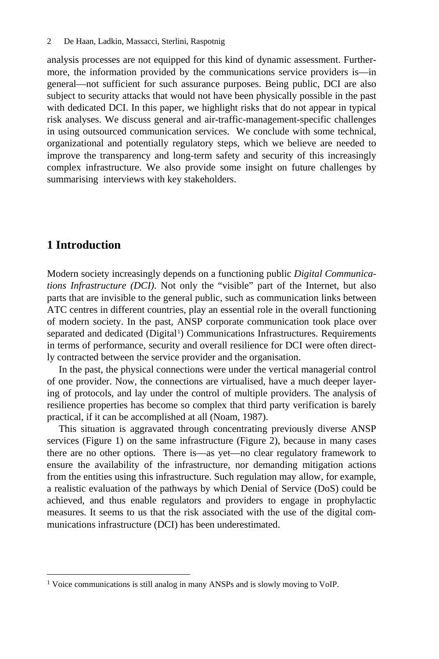analysis processes are not equipped for this kind of dynamic assessment. Furthermore, the information provided by the communications service providers is—in general—not sufficient for such assurance purposes. Being public, DCI are also subject to security attacks that would not have been physically possible in the past with dedicated DCI. In this paper, we highlight risks that do not appear in typical risk analyses. We discuss general and air-traffic-management-specific challenges in using outsourced communication services. We conclude with some technical, organizational and potentially regulatory steps, which we believe are needed to improve the transparency and long-term safety and security of this increasingly complex infrastructure. We also provide some insight on future challenges by summarising interviews with key stakeholders.

# **1 Introduction**

Modern society increasingly depends on a functioning public *Digital Communications Infrastructure (DCI)*. Not only the "visible" part of the Internet, but also parts that are invisible to the general public, such as communication links between ATC centres in different countries, play an essential role in the overall functioning of modern society. In the past, ANSP corporate communication took place over separated and dedicated (Digital<sup>1</sup>) Communications Infrastructures. Requirements in terms of performance, security and overall resilience for DCI were often directly contracted between the service provider and the organisation.

In the past, the physical connections were under the vertical managerial control of one provider. Now, the connections are virtualised, have a much deeper layering of protocols, and lay under the control of multiple providers. The analysis of resilience properties has become so complex that third party verification is barely practical, if it can be accomplished at all (Noam, 1987).

This situation is aggravated through concentrating previously diverse ANSP services [\(Figure 1\)](#page-2-0) on the same infrastructure [\(Figure 2\)](#page-2-1), because in many cases there are no other options. There is—as yet—no clear regulatory framework to ensure the availability of the infrastructure, nor demanding mitigation actions from the entities using this infrastructure. Such regulation may allow, for example, a realistic evaluation of the pathways by which Denial of Service (DoS) could be achieved, and thus enable regulators and providers to engage in prophylactic measures. It seems to us that the risk associated with the use of the digital communications infrastructure (DCI) has been underestimated.

<span id="page-1-0"></span><sup>&</sup>lt;sup>1</sup> Voice communications is still analog in many ANSPs and is slowly moving to VoIP.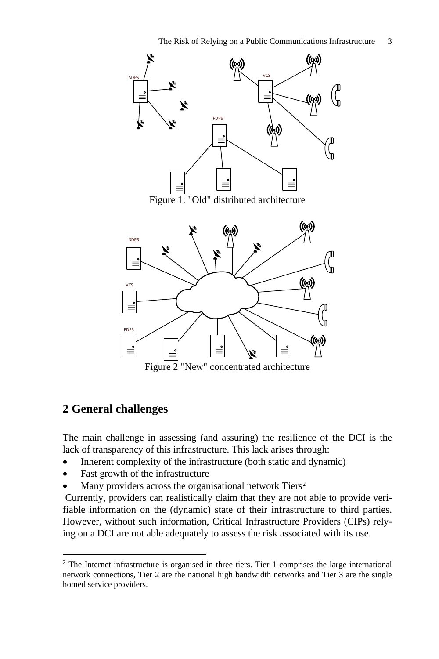

<span id="page-2-0"></span>

# <span id="page-2-1"></span>**2 General challenges**

The main challenge in assessing (and assuring) the resilience of the DCI is the lack of transparency of this infrastructure. This lack arises through:

- Inherent complexity of the infrastructure (both static and dynamic)
- Fast growth of the infrastructure
- Many providers across the organisational network Tiers<sup>[2](#page-2-2)</sup>

Currently, providers can realistically claim that they are not able to provide verifiable information on the (dynamic) state of their infrastructure to third parties. However, without such information, Critical Infrastructure Providers (CIPs) relying on a DCI are not able adequately to assess the risk associated with its use.

<span id="page-2-2"></span><sup>&</sup>lt;sup>2</sup> The Internet infrastructure is organised in three tiers. Tier 1 comprises the large international network connections, Tier 2 are the national high bandwidth networks and Tier 3 are the single homed service providers.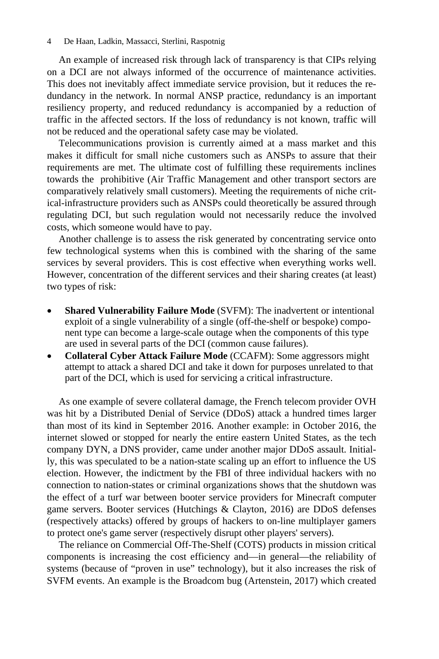#### 4 De Haan, Ladkin, Massacci, Sterlini, Raspotnig

An example of increased risk through lack of transparency is that CIPs relying on a DCI are not always informed of the occurrence of maintenance activities. This does not inevitably affect immediate service provision, but it reduces the redundancy in the network. In normal ANSP practice, redundancy is an important resiliency property, and reduced redundancy is accompanied by a reduction of traffic in the affected sectors. If the loss of redundancy is not known, traffic will not be reduced and the operational safety case may be violated.

Telecommunications provision is currently aimed at a mass market and this makes it difficult for small niche customers such as ANSPs to assure that their requirements are met. The ultimate cost of fulfilling these requirements inclines towards the prohibitive (Air Traffic Management and other transport sectors are comparatively relatively small customers). Meeting the requirements of niche critical-infrastructure providers such as ANSPs could theoretically be assured through regulating DCI, but such regulation would not necessarily reduce the involved costs, which someone would have to pay.

Another challenge is to assess the risk generated by concentrating service onto few technological systems when this is combined with the sharing of the same services by several providers. This is cost effective when everything works well. However, concentration of the different services and their sharing creates (at least) two types of risk:

- **Shared Vulnerability Failure Mode** (SVFM): The inadvertent or intentional exploit of a single vulnerability of a single (off-the-shelf or bespoke) component type can become a large-scale outage when the components of this type are used in several parts of the DCI (common cause failures).
- **Collateral Cyber Attack Failure Mode** (CCAFM): Some aggressors might attempt to attack a shared DCI and take it down for purposes unrelated to that part of the DCI, which is used for servicing a critical infrastructure.

As one example of severe collateral damage, the French telecom provider OVH was hit by a Distributed Denial of Service (DDoS) attack a hundred times larger than most of its kind in September 2016. Another example: in October 2016, the internet slowed or stopped for nearly the entire eastern United States, as the tech company DYN, a DNS provider, came under another major DDoS assault. Initially, this was speculated to be a nation-state scaling up an effort to influence the US election. However, the indictment by the FBI of three individual hackers with no connection to nation-states or criminal organizations shows that the shutdown was the effect of a turf war between booter service providers for Minecraft computer game servers. Booter services (Hutchings & Clayton, 2016) are DDoS defenses (respectively attacks) offered by groups of hackers to on-line multiplayer gamers to protect one's game server (respectively disrupt other players' servers).

The reliance on Commercial Off-The-Shelf (COTS) products in mission critical components is increasing the cost efficiency and—in general—the reliability of systems (because of "proven in use" technology), but it also increases the risk of SVFM events. An example is the Broadcom bug (Artenstein, 2017) which created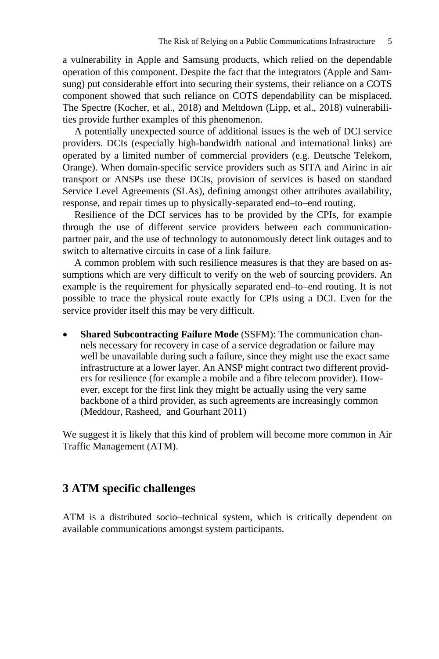a vulnerability in Apple and Samsung products, which relied on the dependable operation of this component. Despite the fact that the integrators (Apple and Samsung) put considerable effort into securing their systems, their reliance on a COTS component showed that such reliance on COTS dependability can be misplaced. The Spectre (Kocher, et al., 2018) and Meltdown (Lipp, et al., 2018) vulnerabilities provide further examples of this phenomenon.

A potentially unexpected source of additional issues is the web of DCI service providers. DCIs (especially high-bandwidth national and international links) are operated by a limited number of commercial providers (e.g. Deutsche Telekom, Orange). When domain-specific service providers such as SITA and Airinc in air transport or ANSPs use these DCIs, provision of services is based on standard Service Level Agreements (SLAs), defining amongst other attributes availability, response, and repair times up to physically-separated end–to–end routing.

Resilience of the DCI services has to be provided by the CPIs, for example through the use of different service providers between each communicationpartner pair, and the use of technology to autonomously detect link outages and to switch to alternative circuits in case of a link failure.

A common problem with such resilience measures is that they are based on assumptions which are very difficult to verify on the web of sourcing providers. An example is the requirement for physically separated end–to–end routing. It is not possible to trace the physical route exactly for CPIs using a DCI. Even for the service provider itself this may be very difficult.

• **Shared Subcontracting Failure Mode** (SSFM): The communication channels necessary for recovery in case of a service degradation or failure may well be unavailable during such a failure, since they might use the exact same infrastructure at a lower layer. An ANSP might contract two different providers for resilience (for example a mobile and a fibre telecom provider). However, except for the first link they might be actually using the very same backbone of a third provider, as such agreements are increasingly common (Meddour, Rasheed, and Gourhant 2011)

We suggest it is likely that this kind of problem will become more common in Air Traffic Management (ATM).

### **3 ATM specific challenges**

ATM is a distributed socio–technical system, which is critically dependent on available communications amongst system participants.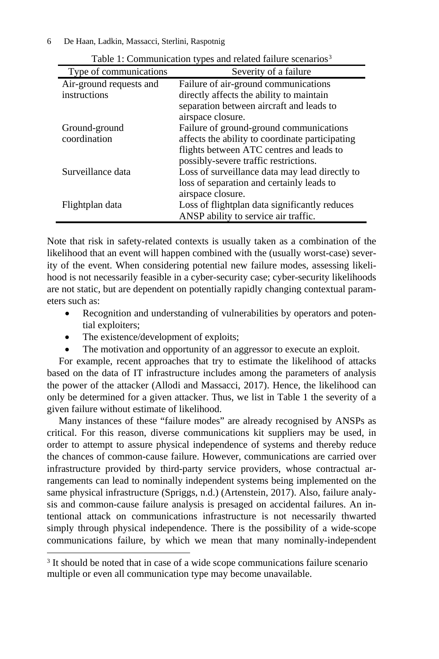| Type of communications  | Severity of a failure                           |
|-------------------------|-------------------------------------------------|
| Air-ground requests and | Failure of air-ground communications            |
| instructions            | directly affects the ability to maintain        |
|                         | separation between aircraft and leads to        |
|                         | airspace closure.                               |
| Ground-ground           | Failure of ground-ground communications         |
| coordination            | affects the ability to coordinate participating |
|                         | flights between ATC centres and leads to        |
|                         | possibly-severe traffic restrictions.           |
| Surveillance data       | Loss of surveillance data may lead directly to  |
|                         | loss of separation and certainly leads to       |
|                         | airspace closure.                               |
| Flightplan data         | Loss of flightplan data significantly reduces   |
|                         | ANSP ability to service air traffic.            |

Table 1: Communication types and related failure scenarios<sup>[3](#page-5-0)</sup>

Note that risk in safety-related contexts is usually taken as a combination of the likelihood that an event will happen combined with the (usually worst-case) severity of the event. When considering potential new failure modes, assessing likelihood is not necessarily feasible in a cyber-security case; cyber-security likelihoods are not static, but are dependent on potentially rapidly changing contextual parameters such as:

- Recognition and understanding of vulnerabilities by operators and potential exploiters;
- The existence/development of exploits;
- The motivation and opportunity of an aggressor to execute an exploit.

For example, recent approaches that try to estimate the likelihood of attacks based on the data of IT infrastructure includes among the parameters of analysis the power of the attacker (Allodi and Massacci, 2017). Hence, the likelihood can only be determined for a given attacker. Thus, we list in Table 1 the severity of a given failure without estimate of likelihood.

Many instances of these "failure modes" are already recognised by ANSPs as critical. For this reason, diverse communications kit suppliers may be used, in order to attempt to assure physical independence of systems and thereby reduce the chances of common-cause failure. However, communications are carried over infrastructure provided by third-party service providers, whose contractual arrangements can lead to nominally independent systems being implemented on the same physical infrastructure (Spriggs, n.d.) (Artenstein, 2017). Also, failure analysis and common-cause failure analysis is presaged on accidental failures. An intentional attack on communications infrastructure is not necessarily thwarted simply through physical independence. There is the possibility of a wide-scope communications failure, by which we mean that many nominally-independent

<span id="page-5-0"></span> <sup>3</sup> It should be noted that in case of a wide scope communications failure scenario multiple or even all communication type may become unavailable.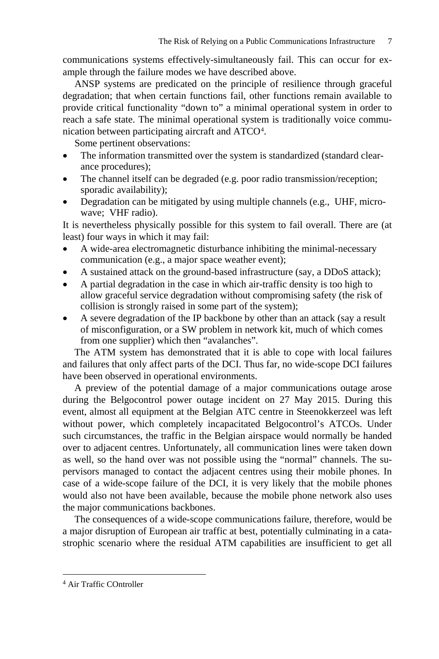communications systems effectively-simultaneously fail. This can occur for example through the failure modes we have described above.

ANSP systems are predicated on the principle of resilience through graceful degradation; that when certain functions fail, other functions remain available to provide critical functionality "down to" a minimal operational system in order to reach a safe state. The minimal operational system is traditionally voice communication between participating aircraft and ATCO[4.](#page-6-0)

Some pertinent observations:

- The information transmitted over the system is standardized (standard clearance procedures);
- The channel itself can be degraded (e.g. poor radio transmission/reception; sporadic availability);
- Degradation can be mitigated by using multiple channels (e.g., UHF, microwave; VHF radio).

It is nevertheless physically possible for this system to fail overall. There are (at least) four ways in which it may fail:

- A wide-area electromagnetic disturbance inhibiting the minimal-necessary communication (e.g., a major space weather event);
- A sustained attack on the ground-based infrastructure (say, a DDoS attack);
- A partial degradation in the case in which air-traffic density is too high to allow graceful service degradation without compromising safety (the risk of collision is strongly raised in some part of the system);
- A severe degradation of the IP backbone by other than an attack (say a result of misconfiguration, or a SW problem in network kit, much of which comes from one supplier) which then "avalanches".

The ATM system has demonstrated that it is able to cope with local failures and failures that only affect parts of the DCI. Thus far, no wide-scope DCI failures have been observed in operational environments.

A preview of the potential damage of a major communications outage arose during the Belgocontrol power outage incident on 27 May 2015. During this event, almost all equipment at the Belgian ATC centre in Steenokkerzeel was left without power, which completely incapacitated Belgocontrol's ATCOs. Under such circumstances, the traffic in the Belgian airspace would normally be handed over to adjacent centres. Unfortunately, all communication lines were taken down as well, so the hand over was not possible using the "normal" channels. The supervisors managed to contact the adjacent centres using their mobile phones. In case of a wide-scope failure of the DCI, it is very likely that the mobile phones would also not have been available, because the mobile phone network also uses the major communications backbones.

The consequences of a wide-scope communications failure, therefore, would be a major disruption of European air traffic at best, potentially culminating in a catastrophic scenario where the residual ATM capabilities are insufficient to get all

<span id="page-6-0"></span> <sup>4</sup> Air Traffic COntroller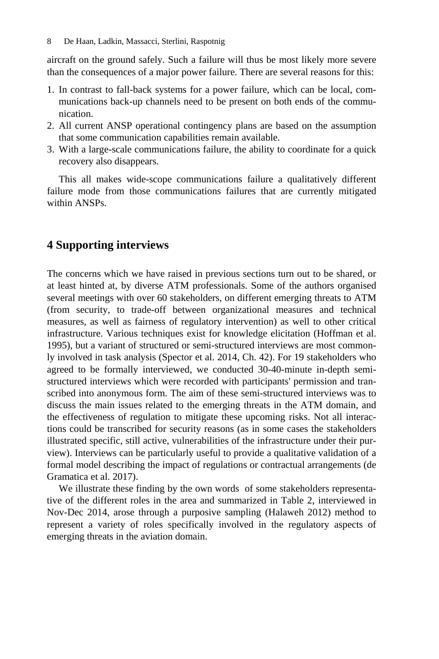aircraft on the ground safely. Such a failure will thus be most likely more severe than the consequences of a major power failure. There are several reasons for this:

- 1. In contrast to fall-back systems for a power failure, which can be local, communications back-up channels need to be present on both ends of the communication.
- 2. All current ANSP operational contingency plans are based on the assumption that some communication capabilities remain available.
- 3. With a large-scale communications failure, the ability to coordinate for a quick recovery also disappears.

This all makes wide-scope communications failure a qualitatively different failure mode from those communications failures that are currently mitigated within ANSPs.

# **4 Supporting interviews**

The concerns which we have raised in previous sections turn out to be shared, or at least hinted at, by diverse ATM professionals. Some of the authors organised several meetings with over 60 stakeholders, on different emerging threats to ATM (from security, to trade-off between organizational measures and technical measures, as well as fairness of regulatory intervention) as well to other critical infrastructure. Various techniques exist for knowledge elicitation (Hoffman et al. 1995), but a variant of structured or semi-structured interviews are most commonly involved in task analysis (Spector et al. 2014, Ch. 42). For 19 stakeholders who agreed to be formally interviewed, we conducted 30-40-minute in-depth semistructured interviews which were recorded with participants' permission and transcribed into anonymous form. The aim of these semi-structured interviews was to discuss the main issues related to the emerging threats in the ATM domain, and the effectiveness of regulation to mitigate these upcoming risks. Not all interactions could be transcribed for security reasons (as in some cases the stakeholders illustrated specific, still active, vulnerabilities of the infrastructure under their purview). Interviews can be particularly useful to provide a qualitative validation of a formal model describing the impact of regulations or contractual arrangements (de Gramatica et al. 2017).

We illustrate these finding by the own words of some stakeholders representative of the different roles in the area and summarized in Table 2, interviewed in Nov-Dec 2014, arose through a purposive sampling (Halaweh 2012) method to represent a variety of roles specifically involved in the regulatory aspects of emerging threats in the aviation domain.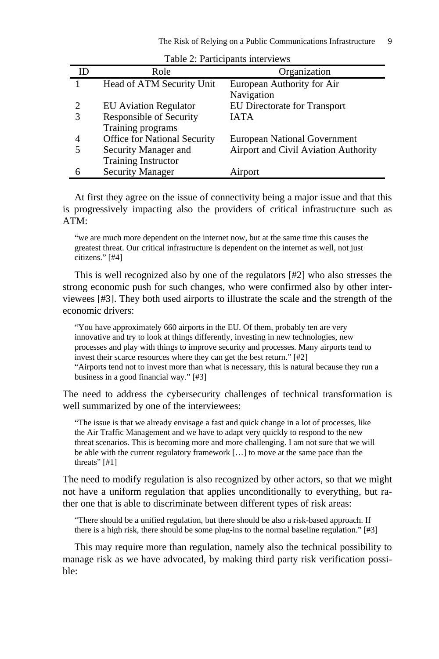| ΙD | Role                         | Organization                         |
|----|------------------------------|--------------------------------------|
|    | Head of ATM Security Unit    | European Authority for Air           |
|    |                              | Navigation                           |
|    | <b>EU</b> Aviation Regulator | EU Directorate for Transport         |
|    | Responsible of Security      | <b>IATA</b>                          |
|    | Training programs            |                                      |
|    | Office for National Security | <b>European National Government</b>  |
|    | Security Manager and         | Airport and Civil Aviation Authority |
|    | <b>Training Instructor</b>   |                                      |
|    | <b>Security Manager</b>      | Airport                              |

Table 2: Participants interviews

At first they agree on the issue of connectivity being a major issue and that this is progressively impacting also the providers of critical infrastructure such as  $ATM$ 

"we are much more dependent on the internet now, but at the same time this causes the greatest threat. Our critical infrastructure is dependent on the internet as well, not just citizens." [#4]

This is well recognized also by one of the regulators [#2] who also stresses the strong economic push for such changes, who were confirmed also by other interviewees [#3]. They both used airports to illustrate the scale and the strength of the economic drivers:

"You have approximately 660 airports in the EU. Of them, probably ten are very innovative and try to look at things differently, investing in new technologies, new processes and play with things to improve security and processes. Many airports tend to invest their scarce resources where they can get the best return." [#2] "Airports tend not to invest more than what is necessary, this is natural because they run a business in a good financial way." [#3]

The need to address the cybersecurity challenges of technical transformation is well summarized by one of the interviewees:

"The issue is that we already envisage a fast and quick change in a lot of processes, like the Air Traffic Management and we have to adapt very quickly to respond to the new threat scenarios. This is becoming more and more challenging. I am not sure that we will be able with the current regulatory framework […] to move at the same pace than the threats" [#1]

The need to modify regulation is also recognized by other actors, so that we might not have a uniform regulation that applies unconditionally to everything, but rather one that is able to discriminate between different types of risk areas:

"There should be a unified regulation, but there should be also a risk-based approach. If there is a high risk, there should be some plug-ins to the normal baseline regulation." [#3]

This may require more than regulation, namely also the technical possibility to manage risk as we have advocated, by making third party risk verification possible: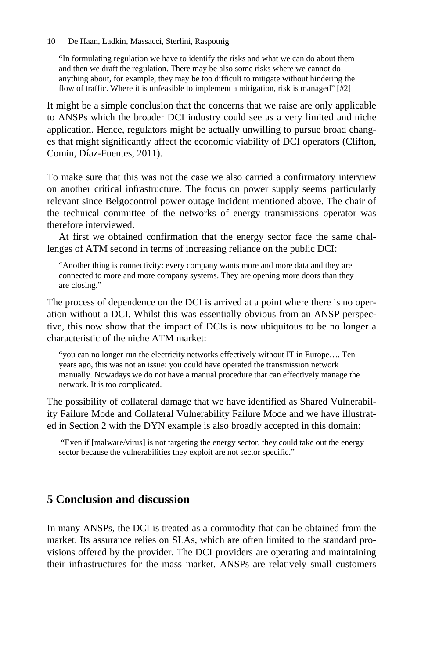"In formulating regulation we have to identify the risks and what we can do about them and then we draft the regulation. There may be also some risks where we cannot do anything about, for example, they may be too difficult to mitigate without hindering the flow of traffic. Where it is unfeasible to implement a mitigation, risk is managed" [#2]

It might be a simple conclusion that the concerns that we raise are only applicable to ANSPs which the broader DCI industry could see as a very limited and niche application. Hence, regulators might be actually unwilling to pursue broad changes that might significantly affect the economic viability of DCI operators (Clifton, Comin, Díaz-Fuentes, 2011).

To make sure that this was not the case we also carried a confirmatory interview on another critical infrastructure. The focus on power supply seems particularly relevant since Belgocontrol power outage incident mentioned above. The chair of the technical committee of the networks of energy transmissions operator was therefore interviewed.

At first we obtained confirmation that the energy sector face the same challenges of ATM second in terms of increasing reliance on the public DCI:

"Another thing is connectivity: every company wants more and more data and they are connected to more and more company systems. They are opening more doors than they are closing."

The process of dependence on the DCI is arrived at a point where there is no operation without a DCI. Whilst this was essentially obvious from an ANSP perspective, this now show that the impact of DCIs is now ubiquitous to be no longer a characteristic of the niche ATM market:

"you can no longer run the electricity networks effectively without IT in Europe…. Ten years ago, this was not an issue: you could have operated the transmission network manually. Nowadays we do not have a manual procedure that can effectively manage the network. It is too complicated.

The possibility of collateral damage that we have identified as Shared Vulnerability Failure Mode and Collateral Vulnerability Failure Mode and we have illustrated in Section 2 with the DYN example is also broadly accepted in this domain:

"Even if [malware/virus] is not targeting the energy sector, they could take out the energy sector because the vulnerabilities they exploit are not sector specific."

# **5 Conclusion and discussion**

In many ANSPs, the DCI is treated as a commodity that can be obtained from the market. Its assurance relies on SLAs, which are often limited to the standard provisions offered by the provider. The DCI providers are operating and maintaining their infrastructures for the mass market. ANSPs are relatively small customers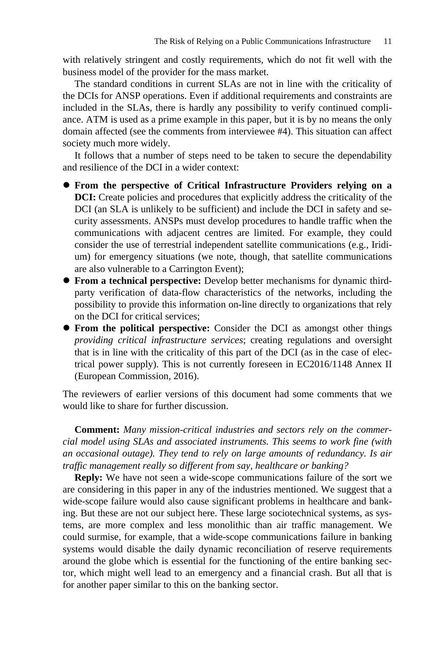with relatively stringent and costly requirements, which do not fit well with the business model of the provider for the mass market.

The standard conditions in current SLAs are not in line with the criticality of the DCIs for ANSP operations. Even if additional requirements and constraints are included in the SLAs, there is hardly any possibility to verify continued compliance. ATM is used as a prime example in this paper, but it is by no means the only domain affected (see the comments from interviewee #4). This situation can affect society much more widely.

It follows that a number of steps need to be taken to secure the dependability and resilience of the DCI in a wider context:

- **From the perspective of Critical Infrastructure Providers relying on a DCI:** Create policies and procedures that explicitly address the criticality of the DCI (an SLA is unlikely to be sufficient) and include the DCI in safety and security assessments. ANSPs must develop procedures to handle traffic when the communications with adjacent centres are limited. For example, they could consider the use of terrestrial independent satellite communications (e.g., Iridium) for emergency situations (we note, though, that satellite communications are also vulnerable to a Carrington Event);
- **From a technical perspective:** Develop better mechanisms for dynamic thirdparty verification of data-flow characteristics of the networks, including the possibility to provide this information on-line directly to organizations that rely on the DCI for critical services;
- **From the political perspective:** Consider the DCI as amongst other things *providing critical infrastructure services*; creating regulations and oversight that is in line with the criticality of this part of the DCI (as in the case of electrical power supply). This is not currently foreseen in EC2016/1148 Annex II (European Commission, 2016).

The reviewers of earlier versions of this document had some comments that we would like to share for further discussion.

**Comment:** *Many mission-critical industries and sectors rely on the commercial model using SLAs and associated instruments. This seems to work fine (with an occasional outage). They tend to rely on large amounts of redundancy. Is air traffic management really so different from say, healthcare or banking?*

**Reply:** We have not seen a wide-scope communications failure of the sort we are considering in this paper in any of the industries mentioned. We suggest that a wide-scope failure would also cause significant problems in healthcare and banking. But these are not our subject here. These large sociotechnical systems, as systems, are more complex and less monolithic than air traffic management. We could surmise, for example, that a wide-scope communications failure in banking systems would disable the daily dynamic reconciliation of reserve requirements around the globe which is essential for the functioning of the entire banking sector, which might well lead to an emergency and a financial crash. But all that is for another paper similar to this on the banking sector.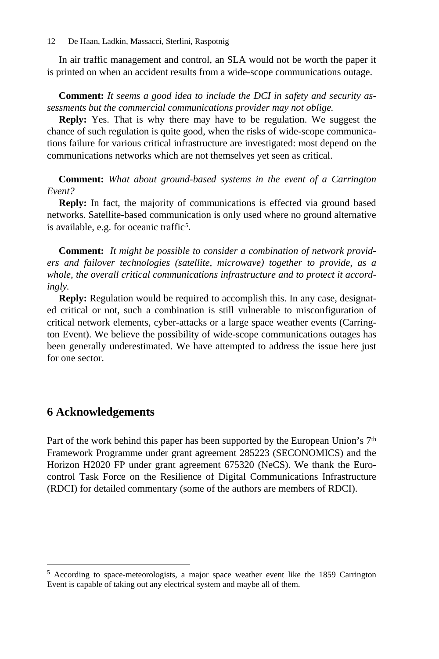In air traffic management and control, an SLA would not be worth the paper it is printed on when an accident results from a wide-scope communications outage.

**Comment:** *It seems a good idea to include the DCI in safety and security assessments but the commercial communications provider may not oblige.*

**Reply:** Yes. That is why there may have to be regulation. We suggest the chance of such regulation is quite good, when the risks of wide-scope communications failure for various critical infrastructure are investigated: most depend on the communications networks which are not themselves yet seen as critical.

**Comment:** *What about ground-based systems in the event of a Carrington Event?*

**Reply:** In fact, the majority of communications is effected via ground based networks. Satellite-based communication is only used where no ground alternative is available, e.g. for oceanic traffic<sup>5</sup>.

**Comment:** *It might be possible to consider a combination of network providers and failover technologies (satellite, microwave) together to provide, as a whole, the overall critical communications infrastructure and to protect it accordingly.*

**Reply:** Regulation would be required to accomplish this. In any case, designated critical or not, such a combination is still vulnerable to misconfiguration of critical network elements, cyber-attacks or a large space weather events (Carrington Event). We believe the possibility of wide-scope communications outages has been generally underestimated. We have attempted to address the issue here just for one sector.

# **6 Acknowledgements**

Part of the work behind this paper has been supported by the European Union's  $7<sup>th</sup>$ Framework Programme under grant agreement 285223 (SECONOMICS) and the Horizon H2020 FP under grant agreement 675320 (NeCS). We thank the Eurocontrol Task Force on the Resilience of Digital Communications Infrastructure (RDCI) for detailed commentary (some of the authors are members of RDCI).

<span id="page-11-0"></span> <sup>5</sup> According to space-meteorologists, a major space weather event like the 1859 Carrington Event is capable of taking out any electrical system and maybe all of them.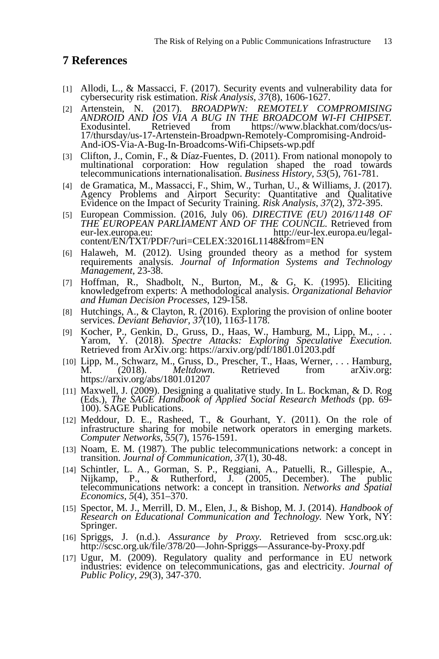## **7 References**

- [1] Allodi, L., & Massacci, F. (2017). Security events and vulnerability data for cybersecurity risk estimation. *Risk Analysis*, *37*(8), 1606-1627.
- [2] Artenstein, N. (2017). *BROADPWN: REMOTELY COMPROMISING ANDROID AND IOS VIA A BUG IN THE BROADCOM WI-FI CHIPSET.* Exodusintel. Retrieved from https://www.blackhat.com/docs/us- 17/thursday/us-17-Artenstein-Broadpwn-Remotely-Compromising-Android- And-iOS-Via-A-Bug-In-Broadcoms-Wifi-Chipsets-wp.pdf
- [3] Clifton, J., Comin, F., & Díaz-Fuentes, D. (2011). From national monopoly to multinational corporation: How regulation shaped the road towards telecommunications internationalisation. *Business History, 53*(5), 761-781.
- [4] de Gramatica, M., Massacci, F., Shim, W., Turhan, U., & Williams, J. (2017). Agency Problems and Airport Security: Quantitative and Qualitative Evidence on the Impact of Security Training. *Risk Analysis*, *37*(2), 372-395.
- [5] European Commission. (2016, July 06). *DIRECTIVE (EU) 2016/1148 OF THE EUROPEAN PARLIAMENT AND OF THE COUNCIL.* Retrieved from eur-lex.europa.eu: http://eur-lex.europa.eu/legal- content/EN/TXT/PDF/?uri=CELEX:32016L1148&from=EN
- [6] Halaweh, M. (2012). Using grounded theory as a method for system requirements analysis. *Journal of Information Systems and Technology Management*, 23-38.
- [7] Hoffman, R., Shadbolt, N., Burton, M., & G, K. (1995). Eliciting knowledgefrom experts: A methodological analysis. *Organizational Behavior and Human Decision Processes*, 129-158.
- [8] Hutchings, A., & Clayton, R. (2016). Exploring the provision of online booter services. *Deviant Behavior, 37*(10), 1163-1178.
- [9] Kocher, P., Genkin, D., Gruss, D., Haas, W., Hamburg, M., Lipp, M., . . . Yarom, Y. (2018). *Spectre Attacks: Exploring Speculative Execution.* Retrieved from ArXiv.org: https://arxiv.org/pdf/1801.01203.pdf
- [10] Lipp, M., Schwarz, M., Gruss, D., Prescher, T., Haas, Werner, . . . Hamburg, https://arxiv.org/abs/1801.01207
- [11] Maxwell, J. (2009). Designing a qualitative study. In L. Bockman, & D. Rog (Eds.), *The SAGE Handbook of Applied Social Research Methods* (pp. 69- 100). SAGE Publications.
- [12] Meddour, D. E., Rasheed, T., & Gourhant, Y. (2011). On the role of infrastructure sharing for mobile network operators in emerging markets. *Computer Networks*, *55*(7), 1576-1591.
- [13] Noam, E. M. (1987). The public telecommunications network: a concept in transition. *Journal of Communication, 37*(1), 30-48.
- [14] Schintler, L. A., Gorman, S. P., Reggiani, A., Patuelli, R., Gillespie, A., Nijkamp, P., & Rutherford, J. (2005, December). The public telecommunications network: a concept in transition. *Networks and Spatial Economics, 5*(4), 351–370.
- [15] Spector, M. J., Merrill, D. M., Elen, J., & Bishop, M. J. (2014). *Handbook of Research on Educational Communication and Technology.* New York, NY: Springer.
- [16] Spriggs, J. (n.d.). *Assurance by Proxy.* Retrieved from scsc.org.uk: http://scsc.org.uk/file/378/20—John-Spriggs—Assurance-by-Proxy.pdf
- [17] Ugur, M. (2009). Regulatory quality and performance in EU network industries: evidence on telecommunications, gas and electricity. *Journal of Public Policy, 29*(3), 347-370.